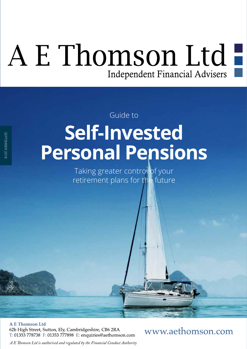# A E Thomson Ltd Independent Financial Advisers

Guide to

# **Self-Invested Personal Pensions**

Taking greater control of your retirement plans for the future

**A E Thomson Ltd** 62b High Street, Sutton, Ely, Cambridgeshire, CB6 2RA T: 01353 778738 F: 01353 777898 E: enquiries@aethomson.com

SEPTEMBER 2018

SEPTEMBER 2018

www.aethomson.com

*A E Tomson Ltd is authorised and regulated by the Financial Conduct Authority*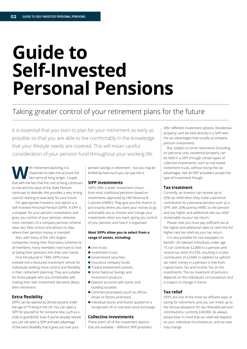## **Guide to Self-Invested Personal Pensions**

### Taking greater control of your retirement plans for the future

It is essential that you start to plan for your retirement as early as possible so that you are able to live comfortably in the knowledge that your lifestyle needs are covered. This will mean careful consideration of your pension fund throughout your working life.

Ith retirement planning, it is<br>
fact we're all living longer. Contained to the fact that the cost of living<br>
that with the fact that the cost of living important to take into account the fact we're all living longer. Couple that with the fact that the cost of living continues to rise and the value of the State Pension continues to dwindle, this provides a very strong case for starting to save early for your future.

For appropriate investors, one option is a Self-Invested Personal Pension (SIPP). A SIPP is a wrapper for your pension investments and gives you control of your pension, whereas most members of a company pension scheme have very little control and almost no idea where their pension money is invested.

Also, with many of the UK's largest companies closing their fnal salary schemes to all members, many members now have to look at taking their pensions into their own hands.

First introduced in 1989, SIPPs have evolved into a favoured investment vehicle for individuals seeking more control and fexibility in their retirement planning. They are suitable for those people who are comfortable with making their own investment decisions about their retirement.

#### **Extra flexibility**

SIPPs can be opened by almost anyone under the age of 75 living in the UK. You can open a SIPP for yourself or for someone else, such as a child or grandchild. Even if you've already retired, you can still open a SIPP and take advantage of the extra fexibility that it gives you over your

pension savings in retirement – but you may be limited by how much you can pay into it.

#### **SIPP investments**

SIPPs offer a wider investment choice than most traditional pensions based on investments approved by HM Revenue & Customs (HMRC). They give you the chance to pick exactly where you want your money to go and enable you to choose and change your investments when you want, giving you control of your pension and how it is organised.

#### **Most SIPPs allow you to select from a range of assets, including:**

- **n** Unit trusts
- **n** Investment trusts
- Government securities
- **n** Insurance company funds
- Traded endowment policies
- Some National Savings and Investment products
- $\blacksquare$  Deposit accounts with banks and building societies
- $\blacksquare$  Commercial property (such as offices, shops or factory premises)
- Individual stocks and shares quoted on a recognised UK or overseas stock exchange

#### **Collective investments**

These aren't all of the investment options that are available – diferent SIPP providers

ofer diferent investment options. Residential property can't be held directly in a SIPP with the tax advantages that usually accompany pension investments.

But, subject to some restrictions (including on personal use), residential property can be held in a SIPP through certain types of collective investments, such as real estate investment trusts, without losing the tax advantages. Not all SIPP providers accept this type of investment though.

#### **Tax treatment**

Currently, an investor can receive up to 45% tax relief when they make a personal contribution to a personal pension such as a SIPP, with 20% paid by HMRC to the pension and any higher and additional-rate tax relief reclaimable via your tax return.

Please note you must pay sufficient tax at the higher and additional rates to claim the full higher-rate tax relief via your tax return.

It is also possible for non-taxpayers to beneft. UK-relevant individuals under age 75 can contribute £2,880 to a pension and receive tax relief of £720, resulting in a total contribution of £3,600. In addition to upfront tax relief, money in a pension is free from Capital Gains Tax and Income Tax on the investments. The tax treatment of pensions depends on the individual's circumstances and is subject to change in future.

#### **Tax relief**

SIPPs are one of the most tax-efficient ways of saving for retirement, and you can invest up to the annual allowance for tax relievable pension contributions, currently £40,000. As always, please bear in mind that tax relief will depend on your individual circumstances, and tax laws may change.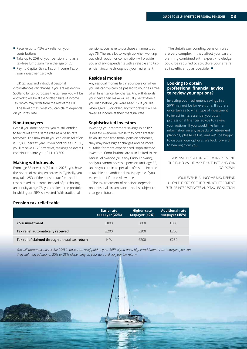- Receive up to 45% tax relief on your contributions
- Take up to 25% of your pension fund as a tax-free lump sum from the age of 55
- Pay no Capital Gains Tax or Income Tax on your investment growth

UK tax laws and individual personal circumstances can change. If you are resident in Scotland for tax purposes, the tax relief you will be entitled to will be at the Scottish Rate of Income Tax, which may difer from the rest of the UK.

The level of tax relief you can claim depends on your tax rate.

#### **Non-taxpayers**

Even if you don't pay tax, you're still entitled to tax relief at the same rate as a basic-rate taxpayer. The maximum you can claim relief on is £2,880 per tax year. If you contribute £2,880, you'll receive £720 tax relief, making the overall contribution into your SIPP £3,600.

#### **Making withdrawals**

From age 55 onwards (57 from 2028), you have the option of making withdrawals. Typically, you may take 25% of the pension tax-free, and the rest is taxed as income. Instead of purchasing an annuity at age 75, you can keep the portfolio in which your SIPP is invested. With traditional

pensions, you have to purchase an annuity at age 75. There's a lot to weigh up when working out which option or combination will provide you and any dependants with a reliable and taxefficient income throughout your retirement.

#### **Residual monies**

Any residual monies left in your pension when you die can typically be passed to your heirs free of an Inheritance Tax charge. Any withdrawals your heirs then make will usually be tax-free if you died before you were aged 75. If you die when aged 75 or older, any withdrawals will be taxed as income at their marginal rate.

#### **Sophisticated investors**

Investing your retirement savings in a SIPP is not for everyone. While they offer greater fexibility than traditional pension schemes, they may have higher charges and be more suitable for more experienced, sophisticated investors. Contributions are also limited to the Annual Allowance (plus any Carry Forward), and you cannot access a pension until age 55, unless you are in a special profession. Income is taxable and additional tax is payable if you exceed the Lifetime Allowance.

The tax treatment of pensions depends on individual circumstances and is subject to change in future.

The details surrounding pension rules are very complex. If they affect you, careful planning combined with expert knowledge could be required to structure your affairs as tax-efficiently as possible.  $\blacksquare$ 

#### **Looking to obtain professional financial advice to review your options?**

Investing your retirement savings in a SIPP may not be for everyone. If you are uncertain as to what type of investment to invest in, it's essential you obtain professional fnancial advice to review your options. If you would like further information on any aspects of retirement planning, please call us, and we'll be happy to discuss your options. We look forward to hearing from you.

A PENSION IS A LONG-TERM INVESTMENT. THE FUND VALUE MAY FLUCTUATE AND CAN GO DOWN.

YOUR EVENTUAL INCOME MAY DEPEND UPON THE SIZE OF THE FUND AT RETIREMENT, FUTURE INTEREST RATES AND TAX LEGISLATION.

#### **Pension tax relief table**

|                                              | <b>Basic-rate</b><br>taxpayer (20%) | Higher-rate<br>taxpayer (40%) | <b>Additional-rate</b><br>taxpayer (45%) |
|----------------------------------------------|-------------------------------------|-------------------------------|------------------------------------------|
| Your investment                              | £800                                | £800                          | £800                                     |
| Tax relief automatically received            | f200                                | f200                          | f200                                     |
| Tax relief claimed through annual tax return | N/A                                 | f200                          | £250                                     |

*You will automatically receive 20% in basic-rate relief paid to your SIPP. If you are a higher/additional-rate taxpayer, you can then claim an additional 20% or 25% (depending on your tax rate) via your tax return.*